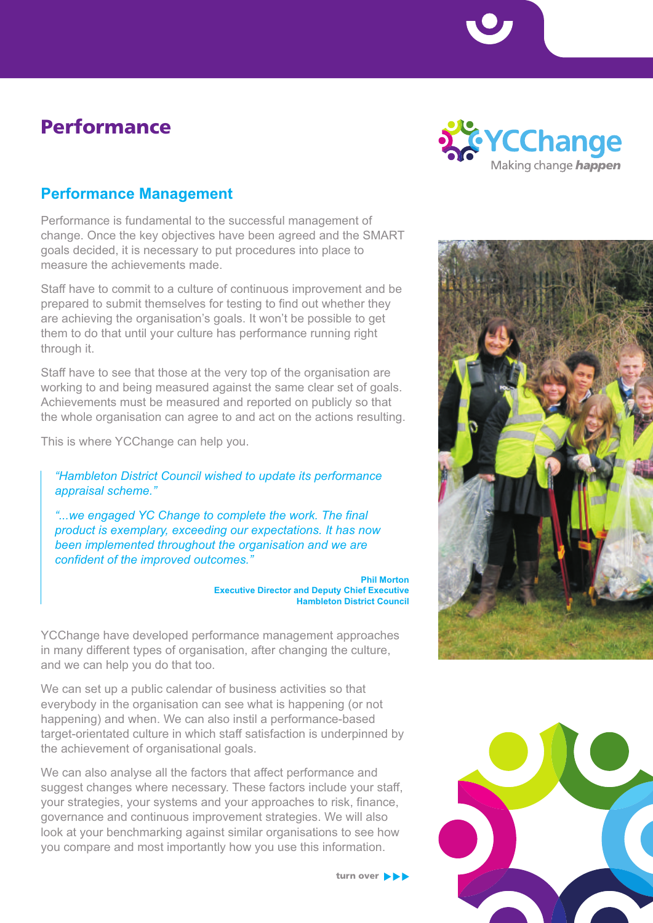## Performance



## **Performance Management**

Performance is fundamental to the successful management of change. Once the key objectives have been agreed and the SMART goals decided, it is necessary to put procedures into place to measure the achievements made.

Staff have to commit to a culture of continuous improvement and be prepared to submit themselves for testing to find out whether they are achieving the organisation's goals. It won't be possible to get them to do that until your culture has performance running right through it.

Staff have to see that those at the very top of the organisation are working to and being measured against the same clear set of goals. Achievements must be measured and reported on publicly so that the whole organisation can agree to and act on the actions resulting.

This is where YCChange can help you.

*"Hambleton District Council wished to update its performance appraisal scheme."*

*"...we engaged YC Change to complete the work. The final product is exemplary, exceeding our expectations. It has now been implemented throughout the organisation and we are confident of the improved outcomes."*

> **Phil Morton Executive Director and Deputy Chief Executive Hambleton District Council**

YCChange have developed performance management approaches in many different types of organisation, after changing the culture, and we can help you do that too.

We can set up a public calendar of business activities so that everybody in the organisation can see what is happening (or not happening) and when. We can also instil a performance-based target-orientated culture in which staff satisfaction is underpinned by the achievement of organisational goals.

We can also analyse all the factors that affect performance and suggest changes where necessary. These factors include your staff, your strategies, your systems and your approaches to risk, finance, governance and continuous improvement strategies. We will also look at your benchmarking against similar organisations to see how you compare and most importantly how you use this information.